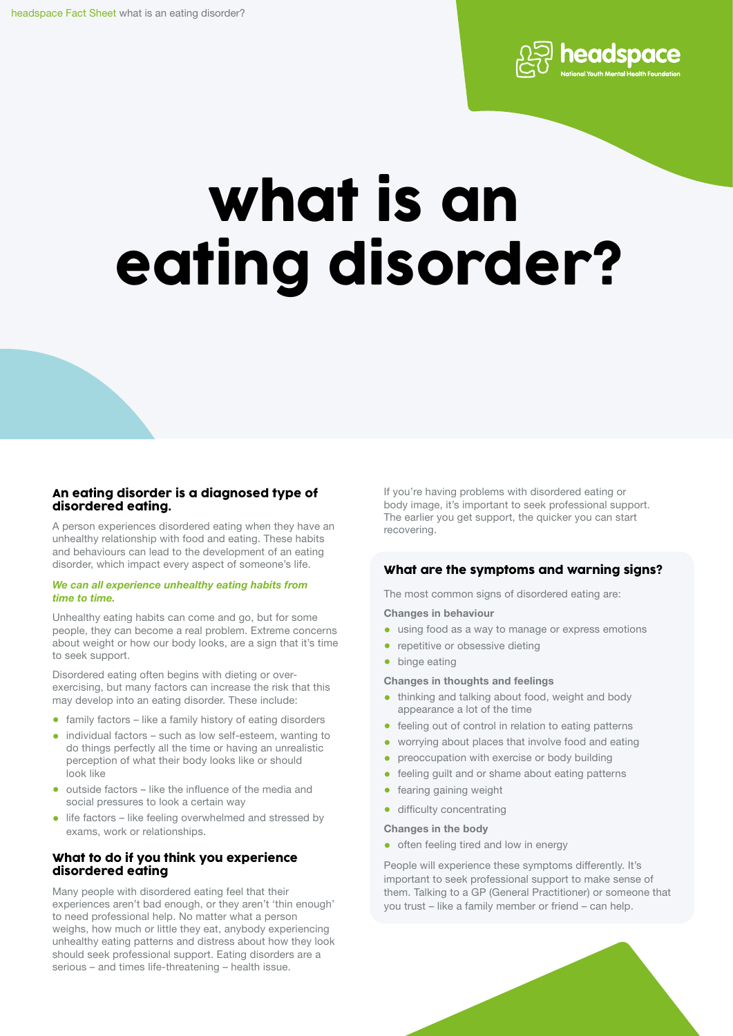

# what is an eating disorder?

# An eating disorder is a diagnosed type of disordered eating.

A person experiences disordered eating when they have an unhealthy relationship with food and eating. These habits and behaviours can lead to the development of an eating disorder, which impact every aspect of someone's life.

#### *We can all experience unhealthy eating habits from time to time.*

Unhealthy eating habits can come and go, but for some people, they can become a real problem. Extreme concerns about weight or how our body looks, are a sign that it's time to seek support.

Disordered eating often begins with dieting or overexercising, but many factors can increase the risk that this may develop into an eating disorder. These include:

- family factors like a family history of eating disorders
- individual factors such as low self-esteem, wanting to do things perfectly all the time or having an unrealistic perception of what their body looks like or should look like
- outside factors like the influence of the media and social pressures to look a certain way
- life factors like feeling overwhelmed and stressed by exams, work or relationships.

# What to do if you think you experience disordered eating

Many people with disordered eating feel that their experiences aren't bad enough, or they aren't 'thin enough' to need professional help. No matter what a person weighs, how much or little they eat, anybody experiencing unhealthy eating patterns and distress about how they look should seek professional support. Eating disorders are a serious – and times life-threatening – health issue.

If you're having problems with disordered eating or body image, it's important to seek professional support. The earlier you get support, the quicker you can start recovering.

# What are the symptoms and warning signs?

The most common signs of disordered eating are:

#### Changes in behaviour

- using food as a way to manage or express emotions
- repetitive or obsessive dieting
- binge eating

#### Changes in thoughts and feelings

- thinking and talking about food, weight and body appearance a lot of the time
- feeling out of control in relation to eating patterns
- worrying about places that involve food and eating
- preoccupation with exercise or body building
- feeling guilt and or shame about eating patterns
- fearing gaining weight
- difficulty concentrating

#### Changes in the body

• often feeling tired and low in energy

People will experience these symptoms differently. It's important to seek professional support to make sense of them. Talking to a GP (General Practitioner) or someone that you trust – like a family member or friend – can help.